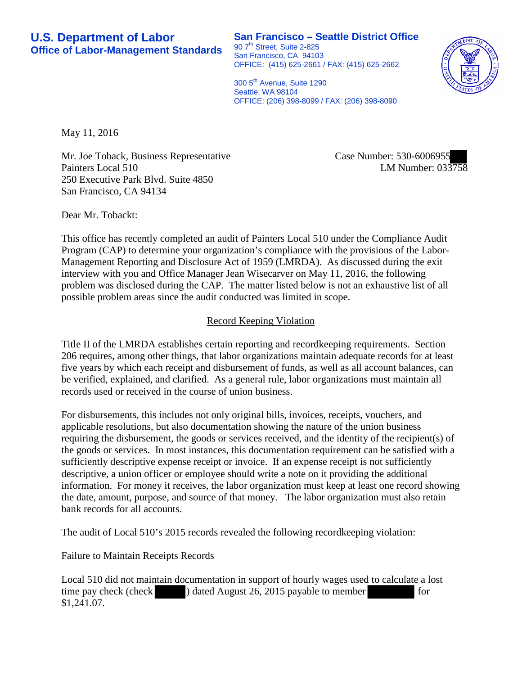**San Francisco – Seattle District Office** 90 7<sup>th</sup> Street, Suite 2-825 San Francisco, CA 94103 OFFICE: (415) 625-2661 / FAX: (415) 625-2662



300 5<sup>th</sup> Avenue, Suite 1290 Seattle, WA 98104 OFFICE: (206) 398-8099 / FAX: (206) 398-8090

May 11, 2016

Mr. Joe Toback, Business Representative Painters Local 510 250 Executive Park Blvd. Suite 4850 San Francisco, CA 94134

Case Number: 530-6006955 LM Number: 033758

Dear Mr. Tobackt:

This office has recently completed an audit of Painters Local 510 under the Compliance Audit Program (CAP) to determine your organization's compliance with the provisions of the Labor-Management Reporting and Disclosure Act of 1959 (LMRDA). As discussed during the exit interview with you and Office Manager Jean Wisecarver on May 11, 2016, the following problem was disclosed during the CAP. The matter listed below is not an exhaustive list of all possible problem areas since the audit conducted was limited in scope.

## Record Keeping Violation

Title II of the LMRDA establishes certain reporting and recordkeeping requirements. Section 206 requires, among other things, that labor organizations maintain adequate records for at least five years by which each receipt and disbursement of funds, as well as all account balances, can be verified, explained, and clarified. As a general rule, labor organizations must maintain all records used or received in the course of union business.

For disbursements, this includes not only original bills, invoices, receipts, vouchers, and applicable resolutions, but also documentation showing the nature of the union business requiring the disbursement, the goods or services received, and the identity of the recipient(s) of the goods or services. In most instances, this documentation requirement can be satisfied with a sufficiently descriptive expense receipt or invoice. If an expense receipt is not sufficiently descriptive, a union officer or employee should write a note on it providing the additional information. For money it receives, the labor organization must keep at least one record showing the date, amount, purpose, and source of that money. The labor organization must also retain bank records for all accounts.

The audit of Local 510's 2015 records revealed the following recordkeeping violation:

Failure to Maintain Receipts Records

Local 510 did not maintain documentation in support of hourly wages used to calculate a lost time pay check (check ) dated August 26, 2015 payable to member for \$1,241.07.